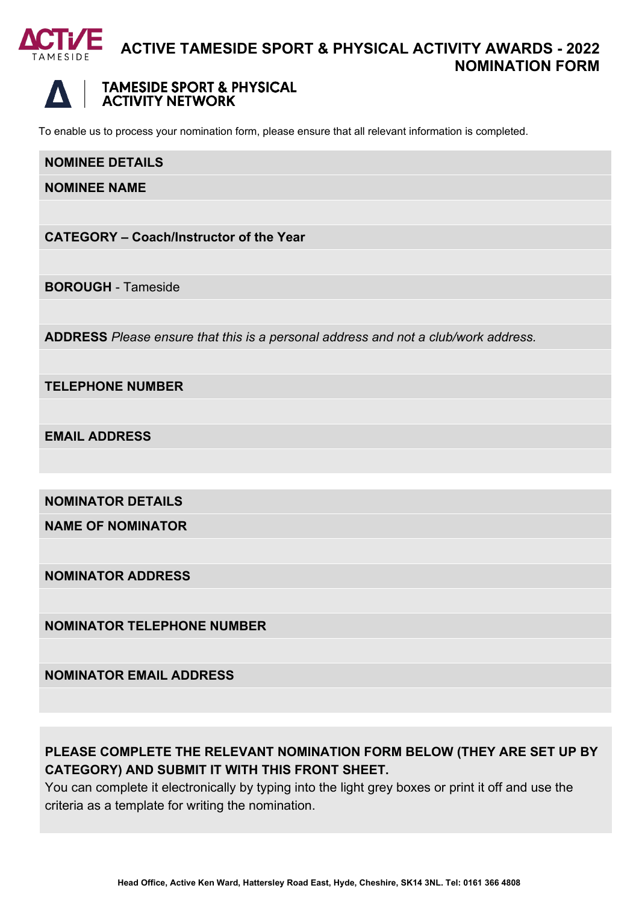



## **TAMESIDE SPORT & PHYSICAL ACTIVITY NETWORK**

To enable us to process your nomination form, please ensure that all relevant information is completed.

#### **NOMINEE DETAILS**

**NOMINEE NAME**

**CATEGORY – Coach/Instructor of the Year**

**BOROUGH** - Tameside

**ADDRESS** *Please ensure that this is a personal address and not a club/work address.*

**TELEPHONE NUMBER**

**EMAIL ADDRESS**

**NOMINATOR DETAILS**

**NAME OF NOMINATOR**

**NOMINATOR ADDRESS**

**NOMINATOR TELEPHONE NUMBER**

**NOMINATOR EMAIL ADDRESS**

## **PLEASE COMPLETE THE RELEVANT NOMINATION FORM BELOW (THEY ARE SET UP BY CATEGORY) AND SUBMIT IT WITH THIS FRONT SHEET.**

You can complete it electronically by typing into the light grey boxes or print it off and use the criteria as a template for writing the nomination.